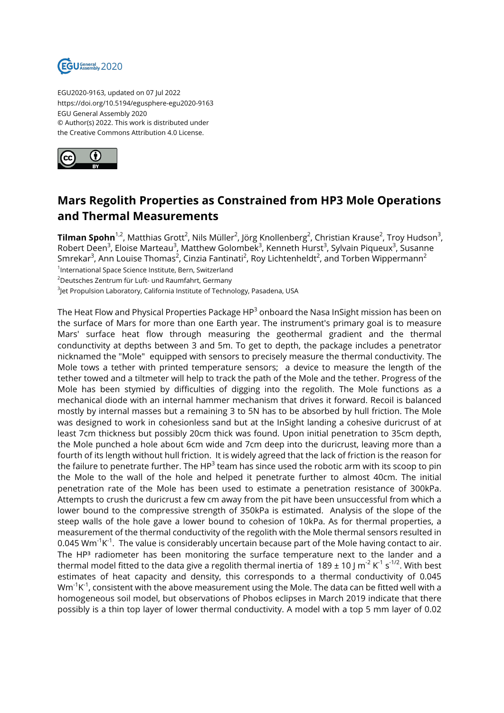

EGU2020-9163, updated on 07 Jul 2022 https://doi.org/10.5194/egusphere-egu2020-9163 EGU General Assembly 2020 © Author(s) 2022. This work is distributed under the Creative Commons Attribution 4.0 License.



## **Mars Regolith Properties as Constrained from HP3 Mole Operations and Thermal Measurements**

**Tilman Spohn**<sup>1,2</sup>, Matthias Grott<sup>2</sup>, Nils Müller<sup>2</sup>, Jörg Knollenberg<sup>2</sup>, Christian Krause<sup>2</sup>, Troy Hudson<sup>3</sup>, Robert Deen<sup>3</sup>, Eloise Marteau<sup>3</sup>, Matthew Golombek<sup>3</sup>, Kenneth Hurst<sup>3</sup>, Sylvain Piqueux<sup>3</sup>, Susanne Smrekar $^3$ , Ann Louise Thomas $^2$ , Cinzia Fantinati $^2$ , Roy Lichtenheldt $^2$ , and Torben Wippermann $^2$ 1 International Space Science Institute, Bern, Switzerland <sup>2</sup>Deutsches Zentrum für Luft- und Raumfahrt, Germany

 $^3$ Jet Propulsion Laboratory, California Institute of Technology, Pasadena, USA

The Heat Flow and Physical Properties Package HP $^{\rm 3}$  onboard the Nasa InSight mission has been on the surface of Mars for more than one Earth year. The instrument's primary goal is to measure Mars' surface heat flow through measuring the geothermal gradient and the thermal condunctivity at depths between 3 and 5m. To get to depth, the package includes a penetrator nicknamed the "Mole" equipped with sensors to precisely measure the thermal conductivity. The Mole tows a tether with printed temperature sensors; a device to measure the length of the tether towed and a tiltmeter will help to track the path of the Mole and the tether. Progress of the Mole has been stymied by difficulties of digging into the regolith. The Mole functions as a mechanical diode with an internal hammer mechanism that drives it forward. Recoil is balanced mostly by internal masses but a remaining 3 to 5N has to be absorbed by hull friction. The Mole was designed to work in cohesionless sand but at the InSight landing a cohesive duricrust of at least 7cm thickness but possibly 20cm thick was found. Upon initial penetration to 35cm depth, the Mole punched a hole about 6cm wide and 7cm deep into the duricrust, leaving more than a fourth of its length without hull friction. It is widely agreed that the lack of friction is the reason for the failure to penetrate further. The HP $^3$  team has since used the robotic arm with its scoop to pin the Mole to the wall of the hole and helped it penetrate further to almost 40cm. The initial penetration rate of the Mole has been used to estimate a penetration resistance of 300kPa. Attempts to crush the duricrust a few cm away from the pit have been unsuccessful from which a lower bound to the compressive strength of 350kPa is estimated. Analysis of the slope of the steep walls of the hole gave a lower bound to cohesion of 10kPa. As for thermal properties, a measurement of the thermal conductivity of the regolith with the Mole thermal sensors resulted in 0.045 Wm $^{\text{-1}}\mathsf{K}^{\text{-1}}.$  The value is considerably uncertain because part of the Mole having contact to air. The  $HP<sup>3</sup>$  radiometer has been monitoring the surface temperature next to the lander and a thermal model fitted to the data give a regolith thermal inertia of  $189 \pm 10$  J m $^2$  K $^1$  s $^{1/2}$ . With best estimates of heat capacity and density, this corresponds to a thermal conductivity of 0.045 Wm $\mathrm{^{1}K^{1}}$ , consistent with the above measurement using the Mole. The data can be fitted well with a homogeneous soil model, but observations of Phobos eclipses in March 2019 indicate that there possibly is a thin top layer of lower thermal conductivity. A model with a top 5 mm layer of 0.02